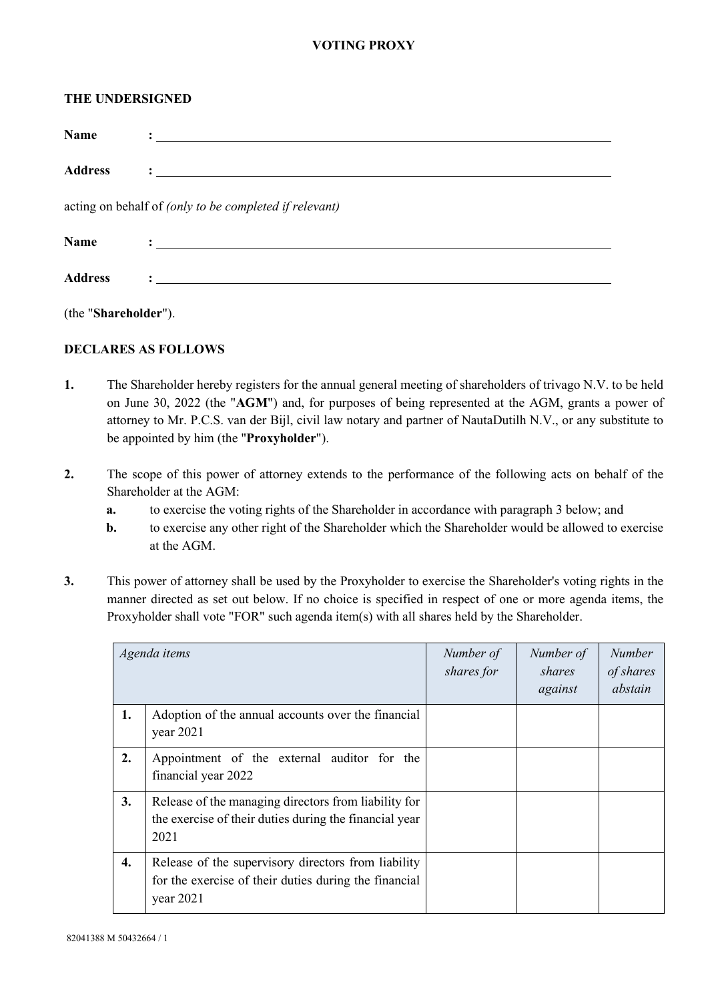## **VOTING PROXY**

## **THE UNDERSIGNED**

| <b>Name</b>                                            |                                                                                                                                                                                                                                   |  |  |  |  |  |
|--------------------------------------------------------|-----------------------------------------------------------------------------------------------------------------------------------------------------------------------------------------------------------------------------------|--|--|--|--|--|
| <b>Address</b>                                         | $\frac{1}{2}$ . The contract of the contract of the contract of the contract of the contract of the contract of the contract of the contract of the contract of the contract of the contract of the contract of the contract of t |  |  |  |  |  |
| acting on behalf of (only to be completed if relevant) |                                                                                                                                                                                                                                   |  |  |  |  |  |
| <b>Name</b>                                            |                                                                                                                                                                                                                                   |  |  |  |  |  |
| <b>Address</b>                                         |                                                                                                                                                                                                                                   |  |  |  |  |  |

(the "**Shareholder**").

## **DECLARES AS FOLLOWS**

- **1.** The Shareholder hereby registers for the annual general meeting of shareholders of trivago N.V. to be held on June 30, 2022 (the "**AGM**") and, for purposes of being represented at the AGM, grants a power of attorney to Mr. P.C.S. van der Bijl, civil law notary and partner of NautaDutilh N.V., or any substitute to be appointed by him (the "**Proxyholder**").
- **2.** The scope of this power of attorney extends to the performance of the following acts on behalf of the Shareholder at the AGM:
	- **a.** to exercise the voting rights of the Shareholder in accordance with paragraph [3](#page-0-0) below; and
	- **b.** to exercise any other right of the Shareholder which the Shareholder would be allowed to exercise at the AGM.
- <span id="page-0-0"></span>**3.** This power of attorney shall be used by the Proxyholder to exercise the Shareholder's voting rights in the manner directed as set out below. If no choice is specified in respect of one or more agenda items, the Proxyholder shall vote "FOR" such agenda item(s) with all shares held by the Shareholder.

| Agenda items |                                                                                                                             | Number of<br>shares for | Number of<br>shares<br>against | <b>Number</b><br>of shares<br>abstain |
|--------------|-----------------------------------------------------------------------------------------------------------------------------|-------------------------|--------------------------------|---------------------------------------|
| 1.           | Adoption of the annual accounts over the financial<br>year $2021$                                                           |                         |                                |                                       |
| 2.           | Appointment of the external auditor for the<br>financial year 2022                                                          |                         |                                |                                       |
| 3.           | Release of the managing directors from liability for<br>the exercise of their duties during the financial year<br>2021      |                         |                                |                                       |
| 4.           | Release of the supervisory directors from liability<br>for the exercise of their duties during the financial<br>year $2021$ |                         |                                |                                       |